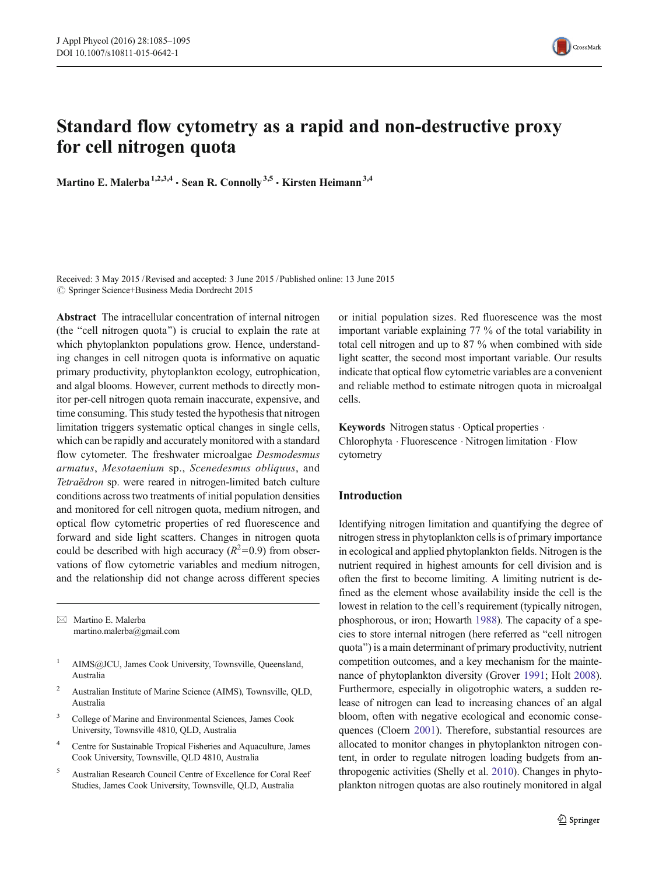

Martino E. Malerba<sup>1,2,3,4</sup>  $\cdot$  Sean R. Connolly<sup>3,5</sup>  $\cdot$  Kirsten Heimann<sup>3,4</sup>

Received: 3 May 2015 /Revised and accepted: 3 June 2015 /Published online: 13 June 2015  $\oslash$  Springer Science+Business Media Dordrecht 2015

Abstract The intracellular concentration of internal nitrogen (the "cell nitrogen quota") is crucial to explain the rate at which phytoplankton populations grow. Hence, understanding changes in cell nitrogen quota is informative on aquatic primary productivity, phytoplankton ecology, eutrophication, and algal blooms. However, current methods to directly monitor per-cell nitrogen quota remain inaccurate, expensive, and time consuming. This study tested the hypothesis that nitrogen limitation triggers systematic optical changes in single cells, which can be rapidly and accurately monitored with a standard flow cytometer. The freshwater microalgae *Desmodesmus* armatus, Mesotaenium sp., Scenedesmus obliquus, and Tetraëdron sp. were reared in nitrogen-limited batch culture conditions across two treatments of initial population densities and monitored for cell nitrogen quota, medium nitrogen, and optical flow cytometric properties of red fluorescence and forward and side light scatters. Changes in nitrogen quota could be described with high accuracy  $(R^2=0.9)$  from observations of flow cytometric variables and medium nitrogen, and the relationship did not change across different species

 $\boxtimes$  Martino E. Malerba martino.malerba@gmail.com

- <sup>1</sup> AIMS@JCU, James Cook University, Townsville, Queensland, Australia
- <sup>2</sup> Australian Institute of Marine Science (AIMS), Townsville, QLD, Australia
- <sup>3</sup> College of Marine and Environmental Sciences, James Cook University, Townsville 4810, QLD, Australia
- <sup>4</sup> Centre for Sustainable Tropical Fisheries and Aquaculture, James Cook University, Townsville, QLD 4810, Australia
- <sup>5</sup> Australian Research Council Centre of Excellence for Coral Reef Studies, James Cook University, Townsville, QLD, Australia

or initial population sizes. Red fluorescence was the most important variable explaining 77 % of the total variability in total cell nitrogen and up to 87 % when combined with side light scatter, the second most important variable. Our results indicate that optical flow cytometric variables are a convenient and reliable method to estimate nitrogen quota in microalgal cells.

Keywords Nitrogen status  $\cdot$  Optical properties  $\cdot$ Chlorophyta . Fluorescence . Nitrogen limitation . Flow cytometry

## Introduction

Identifying nitrogen limitation and quantifying the degree of nitrogen stress in phytoplankton cells is of primary importance in ecological and applied phytoplankton fields. Nitrogen is the nutrient required in highest amounts for cell division and is often the first to become limiting. A limiting nutrient is defined as the element whose availability inside the cell is the lowest in relation to the cell's requirement (typically nitrogen, phosphorous, or iron; Howarth [1988](#page-9-0)). The capacity of a species to store internal nitrogen (here referred as "cell nitrogen quota^) is a main determinant of primary productivity, nutrient competition outcomes, and a key mechanism for the maintenance of phytoplankton diversity (Grover [1991;](#page-9-0) Holt [2008\)](#page-9-0). Furthermore, especially in oligotrophic waters, a sudden release of nitrogen can lead to increasing chances of an algal bloom, often with negative ecological and economic consequences (Cloern [2001\)](#page-9-0). Therefore, substantial resources are allocated to monitor changes in phytoplankton nitrogen content, in order to regulate nitrogen loading budgets from anthropogenic activities (Shelly et al. [2010](#page-10-0)). Changes in phytoplankton nitrogen quotas are also routinely monitored in algal

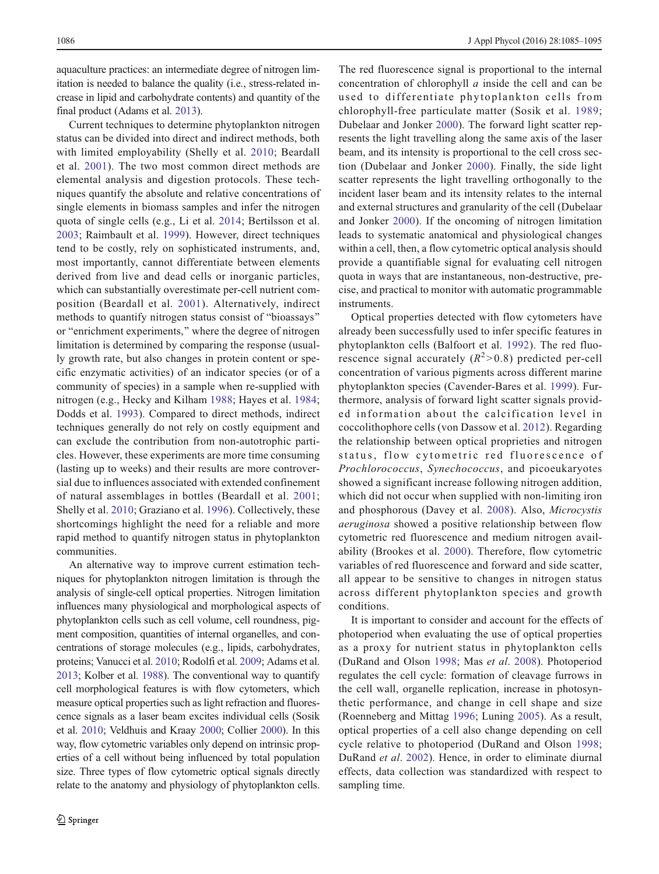aquaculture practices: an intermediate degree of nitrogen limitation is needed to balance the quality (i.e., stress-related increase in lipid and carbohydrate contents) and quantity of the final product (Adams et al. [2013\)](#page-8-0).

Current techniques to determine phytoplankton nitrogen status can be divided into direct and indirect methods, both with limited employability (Shelly et al. [2010;](#page-10-0) Beardall et al. [2001](#page-8-0)). The two most common direct methods are elemental analysis and digestion protocols. These techniques quantify the absolute and relative concentrations of single elements in biomass samples and infer the nitrogen quota of single cells (e.g., Li et al. [2014](#page-9-0); Bertilsson et al. [2003](#page-8-0); Raimbault et al. [1999](#page-9-0)). However, direct techniques tend to be costly, rely on sophisticated instruments, and, most importantly, cannot differentiate between elements derived from live and dead cells or inorganic particles, which can substantially overestimate per-cell nutrient composition (Beardall et al. [2001](#page-8-0)). Alternatively, indirect methods to quantify nitrogen status consist of "bioassays" or "enrichment experiments," where the degree of nitrogen limitation is determined by comparing the response (usually growth rate, but also changes in protein content or specific enzymatic activities) of an indicator species (or of a community of species) in a sample when re-supplied with nitrogen (e.g., Hecky and Kilham [1988](#page-9-0); Hayes et al. [1984](#page-9-0); Dodds et al. [1993](#page-9-0)). Compared to direct methods, indirect techniques generally do not rely on costly equipment and can exclude the contribution from non-autotrophic particles. However, these experiments are more time consuming (lasting up to weeks) and their results are more controversial due to influences associated with extended confinement of natural assemblages in bottles (Beardall et al. [2001](#page-8-0); Shelly et al. [2010;](#page-10-0) Graziano et al. [1996\)](#page-9-0). Collectively, these shortcomings highlight the need for a reliable and more rapid method to quantify nitrogen status in phytoplankton communities.

An alternative way to improve current estimation techniques for phytoplankton nitrogen limitation is through the analysis of single-cell optical properties. Nitrogen limitation influences many physiological and morphological aspects of phytoplankton cells such as cell volume, cell roundness, pigment composition, quantities of internal organelles, and concentrations of storage molecules (e.g., lipids, carbohydrates, proteins; Vanucci et al. [2010](#page-10-0); Rodolfi et al. [2009](#page-9-0); Adams et al. [2013;](#page-8-0) Kolber et al. [1988\)](#page-9-0). The conventional way to quantify cell morphological features is with flow cytometers, which measure optical properties such as light refraction and fluorescence signals as a laser beam excites individual cells (Sosik et al. [2010](#page-10-0); Veldhuis and Kraay [2000;](#page-10-0) Collier [2000](#page-9-0)). In this way, flow cytometric variables only depend on intrinsic properties of a cell without being influenced by total population size. Three types of flow cytometric optical signals directly relate to the anatomy and physiology of phytoplankton cells.

The red fluorescence signal is proportional to the internal concentration of chlorophyll a inside the cell and can be used to differentiate phytoplankton cells from chlorophyll-free particulate matter (Sosik et al. [1989;](#page-10-0) Dubelaar and Jonker [2000](#page-9-0)). The forward light scatter represents the light travelling along the same axis of the laser beam, and its intensity is proportional to the cell cross section (Dubelaar and Jonker [2000\)](#page-9-0). Finally, the side light scatter represents the light travelling orthogonally to the incident laser beam and its intensity relates to the internal and external structures and granularity of the cell (Dubelaar and Jonker [2000](#page-9-0)). If the oncoming of nitrogen limitation leads to systematic anatomical and physiological changes within a cell, then, a flow cytometric optical analysis should provide a quantifiable signal for evaluating cell nitrogen quota in ways that are instantaneous, non-destructive, precise, and practical to monitor with automatic programmable instruments.

Optical properties detected with flow cytometers have already been successfully used to infer specific features in phytoplankton cells (Balfoort et al. [1992\)](#page-8-0). The red fluorescence signal accurately  $(R^2>0.8)$  predicted per-cell concentration of various pigments across different marine phytoplankton species (Cavender-Bares et al. [1999\)](#page-8-0). Furthermore, analysis of forward light scatter signals provided information about the calcification level in coccolithophore cells (von Dassow et al. [2012](#page-10-0)). Regarding the relationship between optical proprieties and nitrogen status, flow cytometric red fluorescence of Prochlorococcus, Synechococcus, and picoeukaryotes showed a significant increase following nitrogen addition, which did not occur when supplied with non-limiting iron and phosphorous (Davey et al. [2008](#page-9-0)). Also, Microcystis aeruginosa showed a positive relationship between flow cytometric red fluorescence and medium nitrogen availability (Brookes et al. [2000](#page-8-0)). Therefore, flow cytometric variables of red fluorescence and forward and side scatter, all appear to be sensitive to changes in nitrogen status across different phytoplankton species and growth conditions.

It is important to consider and account for the effects of photoperiod when evaluating the use of optical properties as a proxy for nutrient status in phytoplankton cells (DuRand and Olson [1998](#page-9-0); Mas et al. [2008](#page-9-0)). Photoperiod regulates the cell cycle: formation of cleavage furrows in the cell wall, organelle replication, increase in photosynthetic performance, and change in cell shape and size (Roenneberg and Mittag [1996;](#page-10-0) Luning [2005](#page-9-0)). As a result, optical properties of a cell also change depending on cell cycle relative to photoperiod (DuRand and Olson [1998;](#page-9-0) DuRand et al. [2002\)](#page-9-0). Hence, in order to eliminate diurnal effects, data collection was standardized with respect to sampling time.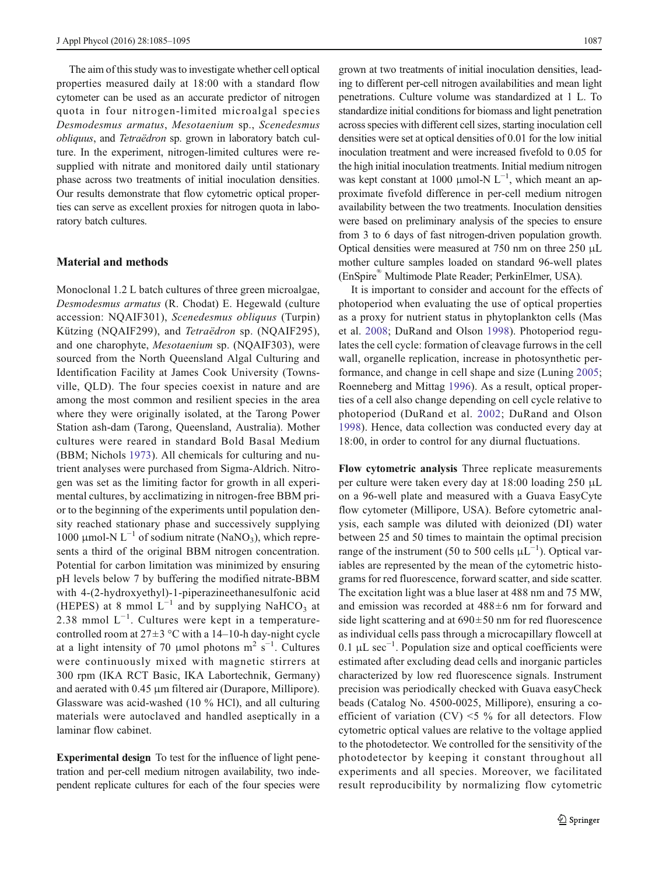The aim of this study was to investigate whether cell optical properties measured daily at 18:00 with a standard flow cytometer can be used as an accurate predictor of nitrogen quota in four nitrogen-limited microalgal species Desmodesmus armatus, Mesotaenium sp., Scenedesmus obliquus, and Tetraëdron sp. grown in laboratory batch culture. In the experiment, nitrogen-limited cultures were resupplied with nitrate and monitored daily until stationary phase across two treatments of initial inoculation densities. Our results demonstrate that flow cytometric optical properties can serve as excellent proxies for nitrogen quota in laboratory batch cultures.

## Material and methods

Monoclonal 1.2 L batch cultures of three green microalgae, Desmodesmus armatus (R. Chodat) E. Hegewald (culture accession: NQAIF301), Scenedesmus obliquus (Turpin) Kützing (NQAIF299), and Tetraëdron sp. (NQAIF295), and one charophyte, Mesotaenium sp. (NQAIF303), were sourced from the North Queensland Algal Culturing and Identification Facility at James Cook University (Townsville, QLD). The four species coexist in nature and are among the most common and resilient species in the area where they were originally isolated, at the Tarong Power Station ash-dam (Tarong, Queensland, Australia). Mother cultures were reared in standard Bold Basal Medium (BBM; Nichols [1973\)](#page-9-0). All chemicals for culturing and nutrient analyses were purchased from Sigma-Aldrich. Nitrogen was set as the limiting factor for growth in all experimental cultures, by acclimatizing in nitrogen-free BBM prior to the beginning of the experiments until population density reached stationary phase and successively supplying 1000 μmol-N  $L^{-1}$  of sodium nitrate (NaNO<sub>3</sub>), which represents a third of the original BBM nitrogen concentration. Potential for carbon limitation was minimized by ensuring pH levels below 7 by buffering the modified nitrate-BBM with 4-(2-hydroxyethyl)-1-piperazineethanesulfonic acid (HEPES) at 8 mmol  $L^{-1}$  and by supplying NaHCO<sub>3</sub> at 2.38 mmol  $L^{-1}$ . Cultures were kept in a temperaturecontrolled room at  $27\pm3$  °C with a 14–10-h day-night cycle at a light intensity of 70 µmol photons  $m^2$  s<sup>-1</sup>. Cultures were continuously mixed with magnetic stirrers at 300 rpm (IKA RCT Basic, IKA Labortechnik, Germany) and aerated with 0.45 μm filtered air (Durapore, Millipore). Glassware was acid-washed (10 % HCl), and all culturing materials were autoclaved and handled aseptically in a laminar flow cabinet.

Experimental design To test for the influence of light penetration and per-cell medium nitrogen availability, two independent replicate cultures for each of the four species were grown at two treatments of initial inoculation densities, leading to different per-cell nitrogen availabilities and mean light penetrations. Culture volume was standardized at 1 L. To standardize initial conditions for biomass and light penetration across species with different cell sizes, starting inoculation cell densities were set at optical densities of 0.01 for the low initial inoculation treatment and were increased fivefold to 0.05 for the high initial inoculation treatments. Initial medium nitrogen was kept constant at 1000 µmol-N  $L^{-1}$ , which meant an approximate fivefold difference in per-cell medium nitrogen availability between the two treatments. Inoculation densities were based on preliminary analysis of the species to ensure from 3 to 6 days of fast nitrogen-driven population growth. Optical densities were measured at 750 nm on three 250 μL mother culture samples loaded on standard 96-well plates (EnSpire® Multimode Plate Reader; PerkinElmer, USA).

It is important to consider and account for the effects of photoperiod when evaluating the use of optical properties as a proxy for nutrient status in phytoplankton cells (Mas et al. [2008;](#page-9-0) DuRand and Olson [1998\)](#page-9-0). Photoperiod regulates the cell cycle: formation of cleavage furrows in the cell wall, organelle replication, increase in photosynthetic performance, and change in cell shape and size (Luning [2005;](#page-9-0) Roenneberg and Mittag [1996\)](#page-10-0). As a result, optical properties of a cell also change depending on cell cycle relative to photoperiod (DuRand et al. [2002](#page-9-0); DuRand and Olson [1998](#page-9-0)). Hence, data collection was conducted every day at 18:00, in order to control for any diurnal fluctuations.

Flow cytometric analysis Three replicate measurements per culture were taken every day at 18:00 loading 250 μL on a 96-well plate and measured with a Guava EasyCyte flow cytometer (Millipore, USA). Before cytometric analysis, each sample was diluted with deionized (DI) water between 25 and 50 times to maintain the optimal precision range of the instrument (50 to 500 cells  $\mu L^{-1}$ ). Optical variables are represented by the mean of the cytometric histograms for red fluorescence, forward scatter, and side scatter. The excitation light was a blue laser at 488 nm and 75 MW, and emission was recorded at 488±6 nm for forward and side light scattering and at  $690 \pm 50$  nm for red fluorescence as individual cells pass through a microcapillary flowcell at 0.1 μL sec−<sup>1</sup> . Population size and optical coefficients were estimated after excluding dead cells and inorganic particles characterized by low red fluorescence signals. Instrument precision was periodically checked with Guava easyCheck beads (Catalog No. 4500-0025, Millipore), ensuring a coefficient of variation (CV)  $\leq$  5 % for all detectors. Flow cytometric optical values are relative to the voltage applied to the photodetector. We controlled for the sensitivity of the photodetector by keeping it constant throughout all experiments and all species. Moreover, we facilitated result reproducibility by normalizing flow cytometric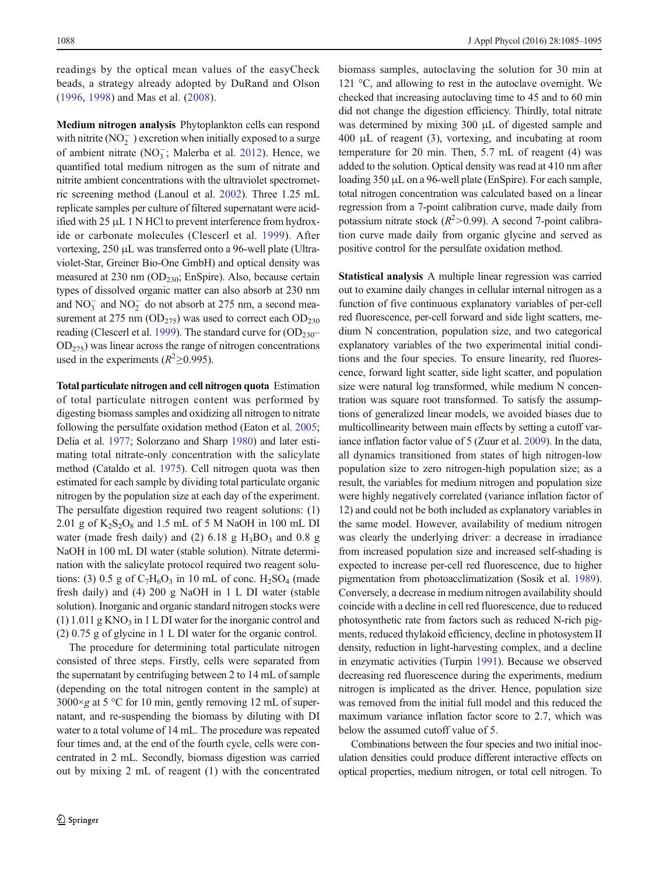readings by the optical mean values of the easyCheck beads, a strategy already adopted by DuRand and Olson [\(1996,](#page-9-0) [1998](#page-9-0)) and Mas et al. ([2008\)](#page-9-0).

Medium nitrogen analysis Phytoplankton cells can respond with nitrite  $(NO<sub>2</sub><sup>-</sup>)$  excretion when initially exposed to a surge of ambient nitrate  $(NO_3^-;$  Malerba et al. [2012\)](#page-9-0). Hence, we quantified total medium nitrogen as the sum of nitrate and nitrite ambient concentrations with the ultraviolet spectrometric screening method (Lanoul et al. [2002](#page-9-0)). Three 1.25 mL replicate samples per culture of filtered supernatant were acidified with 25 μL 1 N HCl to prevent interference from hydroxide or carbonate molecules (Clescerl et al. [1999\)](#page-8-0). After vortexing, 250 μL was transferred onto a 96-well plate (Ultraviolet-Star, Greiner Bio-One GmbH) and optical density was measured at 230 nm  $(OD<sub>230</sub>; EnSpire)$ . Also, because certain types of dissolved organic matter can also absorb at 230 nm and  $NO_3^-$  and  $NO_2^-$  do not absorb at 275 nm, a second measurement at 275 nm  $OD_{275}$ ) was used to correct each  $OD_{230}$ reading (Clescerl et al. [1999](#page-8-0)). The standard curve for  $OD_{230}$  $OD<sub>275</sub>$ ) was linear across the range of nitrogen concentrations used in the experiments ( $R^2 \ge 0.995$ ).

Total particulate nitrogen and cell nitrogen quota Estimation of total particulate nitrogen content was performed by digesting biomass samples and oxidizing all nitrogen to nitrate following the persulfate oxidation method (Eaton et al. [2005](#page-9-0); Delia et al. [1977](#page-9-0); Solorzano and Sharp [1980\)](#page-10-0) and later estimating total nitrate-only concentration with the salicylate method (Cataldo et al. [1975\)](#page-8-0). Cell nitrogen quota was then estimated for each sample by dividing total particulate organic nitrogen by the population size at each day of the experiment. The persulfate digestion required two reagent solutions: (1) 2.01 g of  $K_2S_2O_8$  and 1.5 mL of 5 M NaOH in 100 mL DI water (made fresh daily) and (2) 6.18 g  $H_3BO_3$  and 0.8 g NaOH in 100 mL DI water (stable solution). Nitrate determination with the salicylate protocol required two reagent solutions: (3) 0.5 g of  $C_7H_6O_3$  in 10 mL of conc.  $H_2SO_4$  (made fresh daily) and (4) 200 g NaOH in 1 L DI water (stable solution). Inorganic and organic standard nitrogen stocks were  $(1)$  1.011 g KNO<sub>3</sub> in 1 L DI water for the inorganic control and (2) 0.75 g of glycine in 1 L DI water for the organic control.

The procedure for determining total particulate nitrogen consisted of three steps. Firstly, cells were separated from the supernatant by centrifuging between 2 to 14 mL of sample (depending on the total nitrogen content in the sample) at  $3000 \times g$  at 5 °C for 10 min, gently removing 12 mL of supernatant, and re-suspending the biomass by diluting with DI water to a total volume of 14 mL. The procedure was repeated four times and, at the end of the fourth cycle, cells were concentrated in 2 mL. Secondly, biomass digestion was carried out by mixing 2 mL of reagent (1) with the concentrated biomass samples, autoclaving the solution for 30 min at 121 °C, and allowing to rest in the autoclave overnight. We checked that increasing autoclaving time to 45 and to 60 min did not change the digestion efficiency. Thirdly, total nitrate was determined by mixing 300 μL of digested sample and 400 μL of reagent (3), vortexing, and incubating at room temperature for 20 min. Then, 5.7 mL of reagent (4) was added to the solution. Optical density was read at 410 nm after loading 350 μL on a 96-well plate (EnSpire). For each sample, total nitrogen concentration was calculated based on a linear regression from a 7-point calibration curve, made daily from potassium nitrate stock ( $R^2$ >0.99). A second 7-point calibration curve made daily from organic glycine and served as positive control for the persulfate oxidation method.

Statistical analysis A multiple linear regression was carried out to examine daily changes in cellular internal nitrogen as a function of five continuous explanatory variables of per-cell red fluorescence, per-cell forward and side light scatters, medium N concentration, population size, and two categorical explanatory variables of the two experimental initial conditions and the four species. To ensure linearity, red fluorescence, forward light scatter, side light scatter, and population size were natural log transformed, while medium N concentration was square root transformed. To satisfy the assumptions of generalized linear models, we avoided biases due to multicollinearity between main effects by setting a cutoff variance inflation factor value of 5 (Zuur et al. [2009\)](#page-10-0). In the data, all dynamics transitioned from states of high nitrogen-low population size to zero nitrogen-high population size; as a result, the variables for medium nitrogen and population size were highly negatively correlated (variance inflation factor of 12) and could not be both included as explanatory variables in the same model. However, availability of medium nitrogen was clearly the underlying driver: a decrease in irradiance from increased population size and increased self-shading is expected to increase per-cell red fluorescence, due to higher pigmentation from photoacclimatization (Sosik et al. [1989\)](#page-10-0). Conversely, a decrease in medium nitrogen availability should coincide with a decline in cell red fluorescence, due to reduced photosynthetic rate from factors such as reduced N-rich pigments, reduced thylakoid efficiency, decline in photosystem II density, reduction in light-harvesting complex, and a decline in enzymatic activities (Turpin [1991\)](#page-10-0). Because we observed decreasing red fluorescence during the experiments, medium nitrogen is implicated as the driver. Hence, population size was removed from the initial full model and this reduced the maximum variance inflation factor score to 2.7, which was below the assumed cutoff value of 5.

Combinations between the four species and two initial inoculation densities could produce different interactive effects on optical properties, medium nitrogen, or total cell nitrogen. To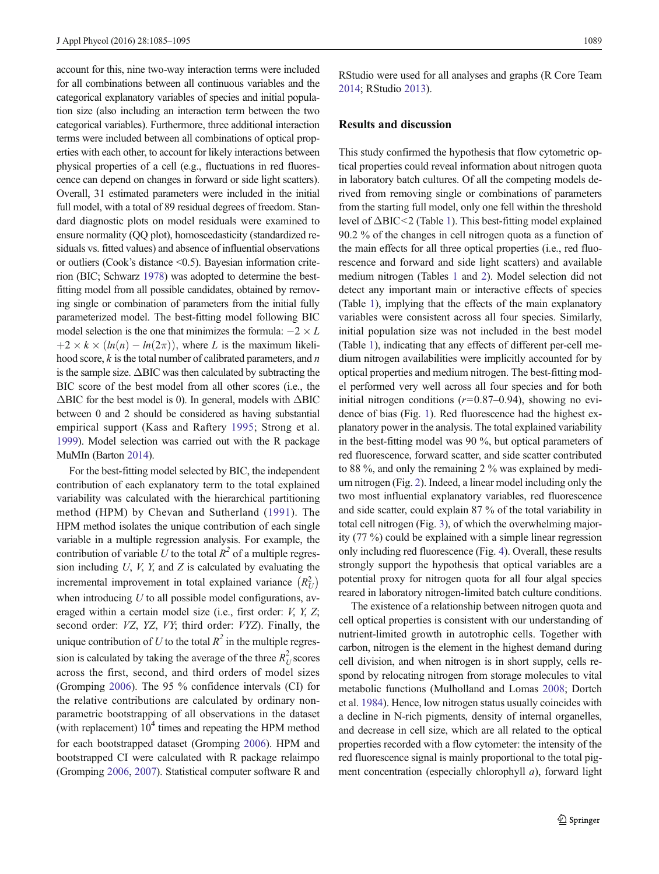account for this, nine two-way interaction terms were included for all combinations between all continuous variables and the categorical explanatory variables of species and initial population size (also including an interaction term between the two categorical variables). Furthermore, three additional interaction terms were included between all combinations of optical properties with each other, to account for likely interactions between physical properties of a cell (e.g., fluctuations in red fluorescence can depend on changes in forward or side light scatters). Overall, 31 estimated parameters were included in the initial full model, with a total of 89 residual degrees of freedom. Standard diagnostic plots on model residuals were examined to ensure normality (QQ plot), homoscedasticity (standardized residuals vs. fitted values) and absence of influential observations or outliers (Cook's distance <0.5). Bayesian information criterion (BIC; Schwarz [1978](#page-10-0)) was adopted to determine the bestfitting model from all possible candidates, obtained by removing single or combination of parameters from the initial fully parameterized model. The best-fitting model following BIC model selection is the one that minimizes the formula:  $-2 \times L$  $+2 \times k \times (ln(n) - ln(2\pi))$ , where L is the maximum likelihood score,  $k$  is the total number of calibrated parameters, and  $n$ is the sample size.  $\triangle BIC$  was then calculated by subtracting the BIC score of the best model from all other scores (i.e., the  $\Delta$ BIC for the best model is 0). In general, models with  $\Delta$ BIC between 0 and 2 should be considered as having substantial empirical support (Kass and Raftery [1995;](#page-9-0) Strong et al. [1999](#page-10-0)). Model selection was carried out with the R package MuMIn (Barton [2014](#page-8-0)).

For the best-fitting model selected by BIC, the independent contribution of each explanatory term to the total explained variability was calculated with the hierarchical partitioning method (HPM) by Chevan and Sutherland ([1991](#page-8-0)). The HPM method isolates the unique contribution of each single variable in a multiple regression analysis. For example, the contribution of variable U to the total  $R^2$  of a multiple regression including  $U$ ,  $V$ ,  $Y$ , and  $Z$  is calculated by evaluating the incremental improvement in total explained variance  $(R_U^2)$ when introducing  $U$  to all possible model configurations, averaged within a certain model size (i.e., first order: *V*, *Y*, *Z*; second order: VZ, YZ, VY; third order: VYZ). Finally, the unique contribution of U to the total  $R^2$  in the multiple regression is calculated by taking the average of the three  $R_U^2$  scores across the first, second, and third orders of model sizes (Gromping [2006\)](#page-9-0). The 95 % confidence intervals (CI) for the relative contributions are calculated by ordinary nonparametric bootstrapping of all observations in the dataset (with replacement)  $10<sup>4</sup>$  times and repeating the HPM method for each bootstrapped dataset (Gromping [2006](#page-9-0)). HPM and bootstrapped CI were calculated with R package relaimpo (Gromping [2006,](#page-9-0) [2007](#page-9-0)). Statistical computer software R and

RStudio were used for all analyses and graphs (R Core Team [2014;](#page-9-0) RStudio [2013](#page-10-0)).

## Results and discussion

This study confirmed the hypothesis that flow cytometric optical properties could reveal information about nitrogen quota in laboratory batch cultures. Of all the competing models derived from removing single or combinations of parameters from the starting full model, only one fell within the threshold level of ΔBIC<2 (Table [1](#page-5-0)). This best-fitting model explained 90.2 % of the changes in cell nitrogen quota as a function of the main effects for all three optical properties (i.e., red fluorescence and forward and side light scatters) and available medium nitrogen (Tables [1](#page-5-0) and [2](#page-6-0)). Model selection did not detect any important main or interactive effects of species (Table [1](#page-5-0)), implying that the effects of the main explanatory variables were consistent across all four species. Similarly, initial population size was not included in the best model (Table [1](#page-5-0)), indicating that any effects of different per-cell medium nitrogen availabilities were implicitly accounted for by optical properties and medium nitrogen. The best-fitting model performed very well across all four species and for both initial nitrogen conditions  $(r=0.87-0.94)$ , showing no evidence of bias (Fig. [1\)](#page-6-0). Red fluorescence had the highest explanatory power in the analysis. The total explained variability in the best-fitting model was 90 %, but optical parameters of red fluorescence, forward scatter, and side scatter contributed to 88 %, and only the remaining 2 % was explained by medium nitrogen (Fig. [2](#page-7-0)). Indeed, a linear model including only the two most influential explanatory variables, red fluorescence and side scatter, could explain 87 % of the total variability in total cell nitrogen (Fig. [3\)](#page-7-0), of which the overwhelming majority (77 %) could be explained with a simple linear regression only including red fluorescence (Fig. [4\)](#page-8-0). Overall, these results strongly support the hypothesis that optical variables are a potential proxy for nitrogen quota for all four algal species reared in laboratory nitrogen-limited batch culture conditions.

The existence of a relationship between nitrogen quota and cell optical properties is consistent with our understanding of nutrient-limited growth in autotrophic cells. Together with carbon, nitrogen is the element in the highest demand during cell division, and when nitrogen is in short supply, cells respond by relocating nitrogen from storage molecules to vital metabolic functions (Mulholland and Lomas [2008](#page-9-0); Dortch et al. [1984](#page-9-0)). Hence, low nitrogen status usually coincides with a decline in N-rich pigments, density of internal organelles, and decrease in cell size, which are all related to the optical properties recorded with a flow cytometer: the intensity of the red fluorescence signal is mainly proportional to the total pigment concentration (especially chlorophyll a), forward light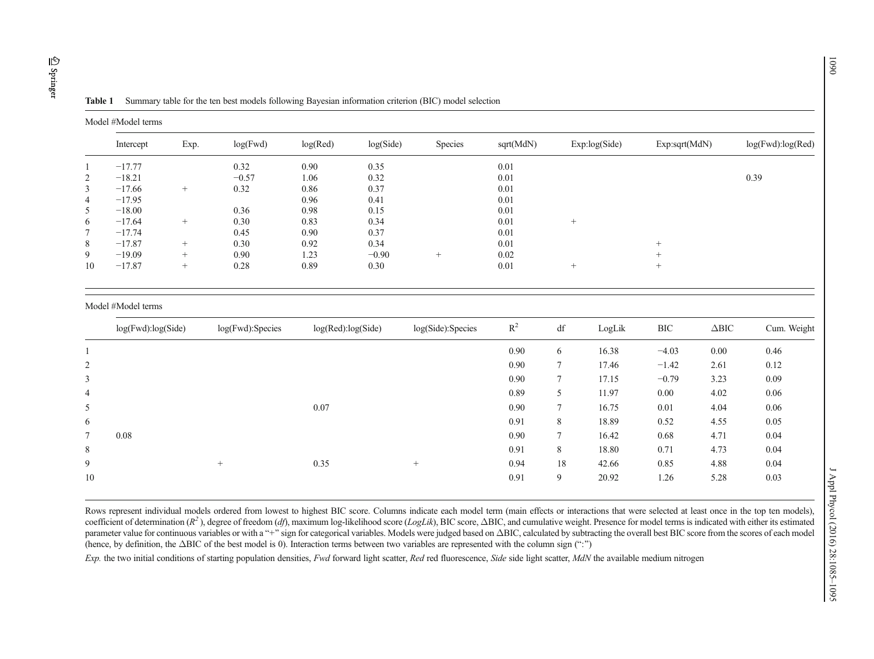<span id="page-5-0"></span>

| Ш       |  |
|---------|--|
| co<br>Ò |  |
| Ξ       |  |
| æ       |  |

Model #Model terms

Intercept Exp. log(Fwd) log(Red) log(Side) Species sqrt(MdN) Exp:log(Side) Exp:sqrt(MdN) log(Fwd):log(Red) 1 $1 \t -17.77 \t 0.32 \t 0.90 \t 0.35 \t 0.01$ 2 $-18.21$  −0.57 1.06 0.32 0.01 0.39 0.01 0.39 3 <sup>−</sup>17.66 + 0.32 0.86 0.37 0.01 4 <sup>−</sup>17.95 0.96 0.41 0.01 5 <sup>−</sup>18.00 0.36 0.98 0.15 0.01 6 $-17.64$  + 0.30 0.83 0.34 0.01 + 7 $\frac{7}{7}$   $-\frac{17.74}{0.01}$  0.45 0.90 0.37 0.01 8 $8$   $-17.87$  + 0.30 0.92 0.34 0.01 + 9 <sup>−</sup>19.09 + 0.90 1.23 <sup>−</sup>0.90 + $+$  0.02  $+$ 10 $0 \t -17.87 \t + \t 0.28 \t 0.89 \t 0.30 \t + \t 0.01 \t +$  + Model #Model terms log(Fwd):log(Side) log(Fwd):Species log(Red):log(Side) log(Side):Species R2 df LogLik BIC <sup>Δ</sup>BIC Cum. Weight 1 $0.90 \t 6 \t 16.38 \t -4.03 \t 0.00 \t 0.46$ 2 $0.90 \qquad 7 \qquad 17.46 \qquad -1.42 \qquad 2.61 \qquad 0.12$ 3 $\frac{0.90}{7}$   $\frac{17.15}{17.15}$   $\frac{-0.79}{3.23}$   $\frac{0.09}{0.09}$ 4 $\frac{0.89}{5}$   $\frac{11.97}{0.00}$   $\frac{4.02}{0.06}$  0.06 5 0.07 0.90 7 16.75 0.01 4.04 0.060.06 6 $0.91$  8 18.89  $0.52$  4.55 0.05 7 0.088 and  $\begin{array}{ccccccc} 0.90 & 7 & 16.42 & 0.68 & 4.71 & 0.04 \end{array}$ 88 a  $18.80$  0.71  $4.73$  0.04 9 + 0.35 + 0.94 18 42.66 0.85 4.88 0.040.04 100.91 9 20.92 1.26 5.28 0.03

Table 1Summary table for the ten best models following Bayesian information criterion (BIC) model selection

Rows represent individual models ordered from lowest to highest BIC score. Columns indicate each model term (main effects or interactions that were selected at least once in the top ten models). coefficient of determination  $(R^2)$ , degree of freedom (df), maximum log-likelihood score (LogLik), BIC score,  $\Delta BIC$ , and cumulative weight. Presence for model terms is indicated with either its estimated parameter value for continuous variables or with a "+" sign for categorical variables. Models were judged based on ΔBIC, calculated by subtracting the overall best BIC score from the scores of each model (hence, by definition, the ΔBIC of the best model is 0). Interaction terms between two variables are represented with the column sign (";")

Exp. the two initial conditions of starting population densities, Fwd forward light scatter, Red red fluorescence, Side side light scatter, MdN the available medium nitrogen

1090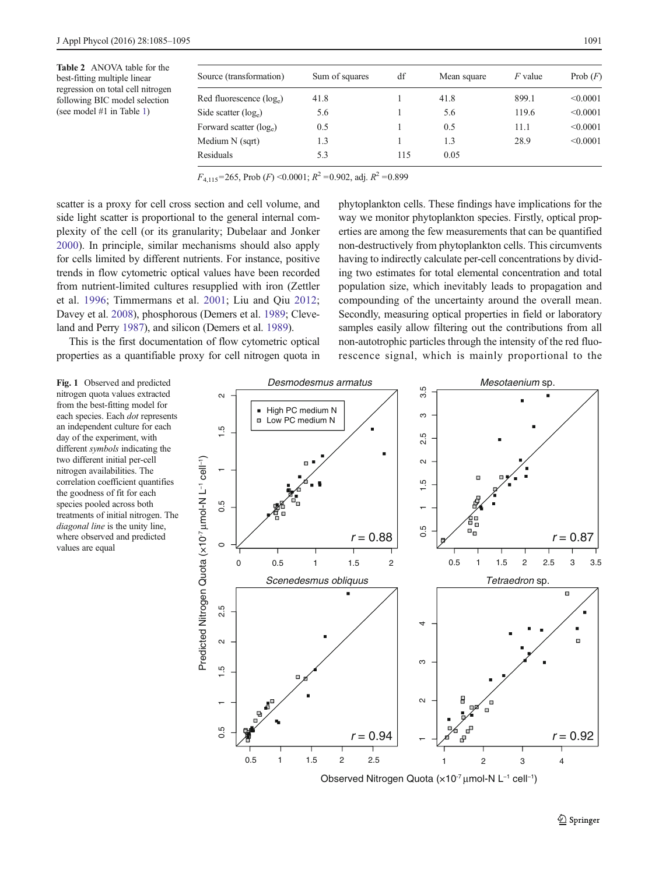<span id="page-6-0"></span>

| Source (transformation)             | Sum of squares | df  | Mean square | $F$ value | Prob $(F)$ |
|-------------------------------------|----------------|-----|-------------|-----------|------------|
| Red fluorescence $(\log_e)$         | 41.8           |     | 41.8        | 899.1     | < 0.0001   |
| Side scatter $(\log_e)$             | 5.6            |     | 5.6         | 119.6     | < 0.0001   |
| Forward scatter (log <sub>e</sub> ) | 0.5            |     | 0.5         | 11.1      | < 0.0001   |
| Medium N (sqrt)                     | 1.3            |     | 1.3         | 28.9      | < 0.0001   |
| Residuals                           | 5.3            | 115 | 0.05        |           |            |

 $F_{4,115}$ =265, Prob (F) <0.0001;  $R^2$  =0.902, adj.  $R^2$  =0.899

scatter is a proxy for cell cross section and cell volume, and side light scatter is proportional to the general internal complexity of the cell (or its granularity; Dubelaar and Jonker [2000\)](#page-9-0). In principle, similar mechanisms should also apply for cells limited by different nutrients. For instance, positive trends in flow cytometric optical values have been recorded from nutrient-limited cultures resupplied with iron (Zettler et al. [1996;](#page-10-0) Timmermans et al. [2001](#page-10-0); Liu and Qiu [2012](#page-9-0); Davey et al. [2008](#page-9-0)), phosphorous (Demers et al. [1989](#page-9-0); Cleveland and Perry [1987](#page-9-0)), and silicon (Demers et al. [1989](#page-9-0)).

This is the first documentation of flow cytometric optical properties as a quantifiable proxy for cell nitrogen quota in phytoplankton cells. These findings have implications for the way we monitor phytoplankton species. Firstly, optical properties are among the few measurements that can be quantified non-destructively from phytoplankton cells. This circumvents having to indirectly calculate per-cell concentrations by dividing two estimates for total elemental concentration and total population size, which inevitably leads to propagation and compounding of the uncertainty around the overall mean. Secondly, measuring optical properties in field or laboratory samples easily allow filtering out the contributions from all non-autotrophic particles through the intensity of the red fluorescence signal, which is mainly proportional to the

Fig. 1 Observed and predicted nitrogen quota values extracted from the best-fitting model for each species. Each dot represents an independent culture for each day of the experiment, with different symbols indicating the two different initial per-cell nitrogen availabilities. The correlation coefficient quantifies the goodness of fit for each species pooled across both treatments of initial nitrogen. The diagonal line is the unity line, where observed and predicted values are equal



Observed Nitrogen Quota (x10<sup>-7</sup> μmol-N L<sup>-1</sup> cell<sup>-1</sup>)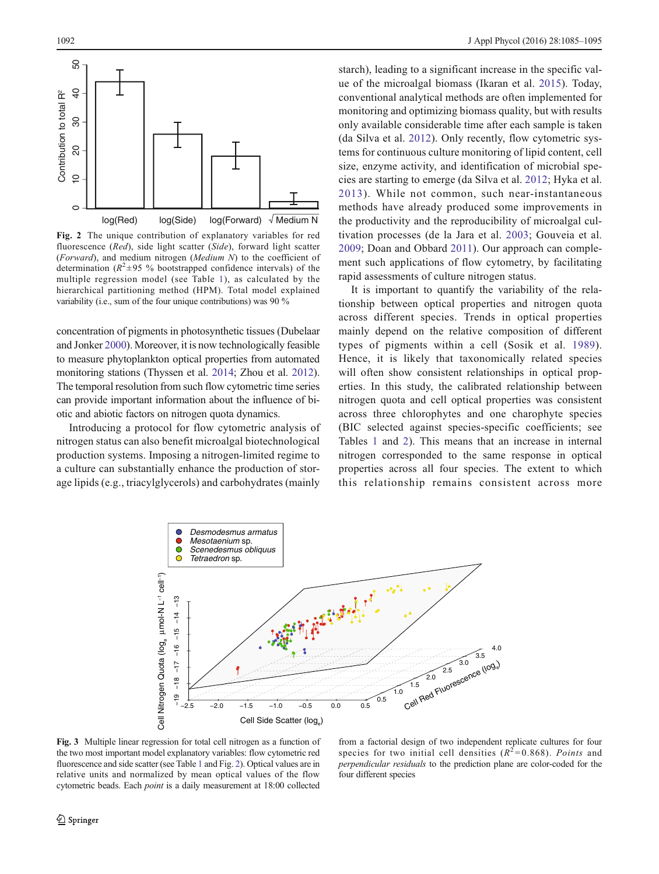<span id="page-7-0"></span>

Fig. 2 The unique contribution of explanatory variables for red fluorescence (Red), side light scatter (Side), forward light scatter (Forward), and medium nitrogen (Medium N) to the coefficient of determination ( $R^2 \pm 95$  % bootstrapped confidence intervals) of the multiple regression model (see Table [1\)](#page-5-0), as calculated by the hierarchical partitioning method (HPM). Total model explained variability (i.e., sum of the four unique contributions) was 90 %

concentration of pigments in photosynthetic tissues (Dubelaar and Jonker [2000](#page-9-0)). Moreover, it is now technologically feasible to measure phytoplankton optical properties from automated monitoring stations (Thyssen et al. [2014](#page-10-0); Zhou et al. [2012\)](#page-10-0). The temporal resolution from such flow cytometric time series can provide important information about the influence of biotic and abiotic factors on nitrogen quota dynamics.

Introducing a protocol for flow cytometric analysis of nitrogen status can also benefit microalgal biotechnological production systems. Imposing a nitrogen-limited regime to a culture can substantially enhance the production of storage lipids (e.g., triacylglycerols) and carbohydrates (mainly starch), leading to a significant increase in the specific value of the microalgal biomass (Ikaran et al. [2015\)](#page-9-0). Today, conventional analytical methods are often implemented for monitoring and optimizing biomass quality, but with results only available considerable time after each sample is taken (da Silva et al. [2012\)](#page-9-0). Only recently, flow cytometric systems for continuous culture monitoring of lipid content, cell size, enzyme activity, and identification of microbial species are starting to emerge (da Silva et al. [2012](#page-9-0); Hyka et al. [2013\)](#page-9-0). While not common, such near-instantaneous methods have already produced some improvements in the productivity and the reproducibility of microalgal cultivation processes (de la Jara et al. [2003](#page-9-0); Gouveia et al. [2009](#page-9-0); Doan and Obbard [2011](#page-9-0)). Our approach can complement such applications of flow cytometry, by facilitating rapid assessments of culture nitrogen status.

It is important to quantify the variability of the relationship between optical properties and nitrogen quota across different species. Trends in optical properties mainly depend on the relative composition of different types of pigments within a cell (Sosik et al. [1989](#page-10-0)). Hence, it is likely that taxonomically related species will often show consistent relationships in optical properties. In this study, the calibrated relationship between nitrogen quota and cell optical properties was consistent across three chlorophytes and one charophyte species (BIC selected against species-specific coefficients; see Tables [1](#page-5-0) and [2\)](#page-6-0). This means that an increase in internal nitrogen corresponded to the same response in optical properties across all four species. The extent to which this relationship remains consistent across more



Fig. 3 Multiple linear regression for total cell nitrogen as a function of the two most important model explanatory variables: flow cytometric red fluorescence and side scatter (see Table [1](#page-5-0) and Fig. 2). Optical values are in relative units and normalized by mean optical values of the flow cytometric beads. Each point is a daily measurement at 18:00 collected

from a factorial design of two independent replicate cultures for four species for two initial cell densities  $(R^2=0.868)$ . Points and perpendicular residuals to the prediction plane are color-coded for the four different species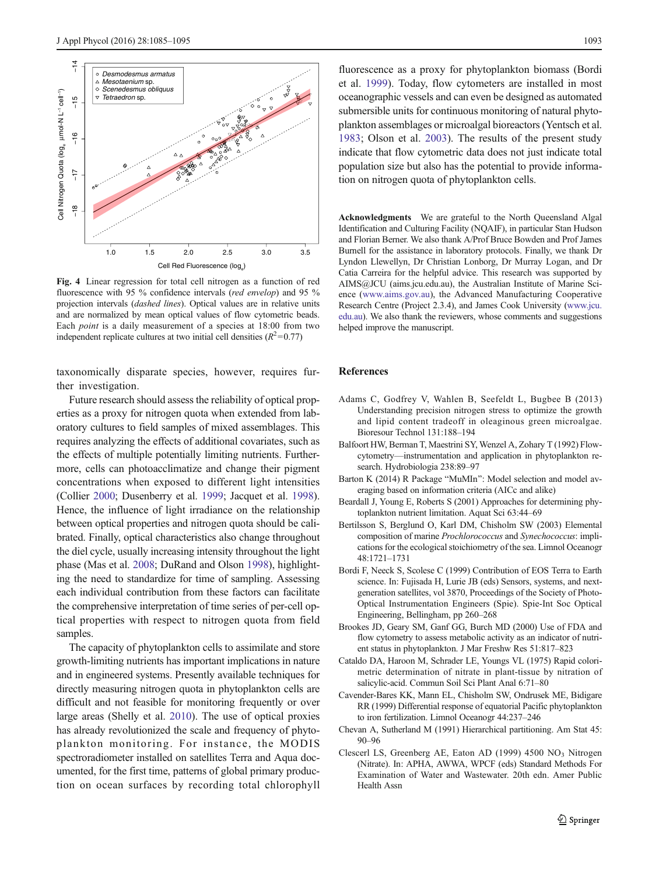<span id="page-8-0"></span>

Fig. 4 Linear regression for total cell nitrogen as a function of red fluorescence with 95 % confidence intervals (red envelop) and 95 % projection intervals (dashed lines). Optical values are in relative units and are normalized by mean optical values of flow cytometric beads. Each point is a daily measurement of a species at 18:00 from two independent replicate cultures at two initial cell densities  $(R^2=0.77)$ 

taxonomically disparate species, however, requires further investigation.

Future research should assess the reliability of optical properties as a proxy for nitrogen quota when extended from laboratory cultures to field samples of mixed assemblages. This requires analyzing the effects of additional covariates, such as the effects of multiple potentially limiting nutrients. Furthermore, cells can photoacclimatize and change their pigment concentrations when exposed to different light intensities (Collier [2000;](#page-9-0) Dusenberry et al. [1999;](#page-9-0) Jacquet et al. [1998\)](#page-9-0). Hence, the influence of light irradiance on the relationship between optical properties and nitrogen quota should be calibrated. Finally, optical characteristics also change throughout the diel cycle, usually increasing intensity throughout the light phase (Mas et al. [2008;](#page-9-0) DuRand and Olson [1998\)](#page-9-0), highlighting the need to standardize for time of sampling. Assessing each individual contribution from these factors can facilitate the comprehensive interpretation of time series of per-cell optical properties with respect to nitrogen quota from field samples.

The capacity of phytoplankton cells to assimilate and store growth-limiting nutrients has important implications in nature and in engineered systems. Presently available techniques for directly measuring nitrogen quota in phytoplankton cells are difficult and not feasible for monitoring frequently or over large areas (Shelly et al. [2010](#page-10-0)). The use of optical proxies has already revolutionized the scale and frequency of phytoplankton monitoring. For instance, the MODIS spectroradiometer installed on satellites Terra and Aqua documented, for the first time, patterns of global primary production on ocean surfaces by recording total chlorophyll

fluorescence as a proxy for phytoplankton biomass (Bordi et al. 1999). Today, flow cytometers are installed in most oceanographic vessels and can even be designed as automated submersible units for continuous monitoring of natural phytoplankton assemblages or microalgal bioreactors (Yentsch et al. [1983](#page-10-0); Olson et al. [2003](#page-9-0)). The results of the present study indicate that flow cytometric data does not just indicate total population size but also has the potential to provide information on nitrogen quota of phytoplankton cells.

Acknowledgments We are grateful to the North Queensland Algal Identification and Culturing Facility (NQAIF), in particular Stan Hudson and Florian Berner. We also thank A/Prof Bruce Bowden and Prof James Burnell for the assistance in laboratory protocols. Finally, we thank Dr Lyndon Llewellyn, Dr Christian Lonborg, Dr Murray Logan, and Dr Catia Carreira for the helpful advice. This research was supported by AIMS@JCU (aims.jcu.edu.au), the Australian Institute of Marine Science ([www.aims.gov.au\)](http://www.aims.gov.au/), the Advanced Manufacturing Cooperative Research Centre (Project 2.3.4), and James Cook University ([www.jcu.](http://www.jcu.edu.au/) [edu.au\)](http://www.jcu.edu.au/). We also thank the reviewers, whose comments and suggestions helped improve the manuscript.

## References

- Adams C, Godfrey V, Wahlen B, Seefeldt L, Bugbee B (2013) Understanding precision nitrogen stress to optimize the growth and lipid content tradeoff in oleaginous green microalgae. Bioresour Technol 131:188–194
- Balfoort HW, Berman T, Maestrini SY, Wenzel A, Zohary T (1992) Flowcytometry—instrumentation and application in phytoplankton research. Hydrobiologia 238:89–97
- Barton K (2014) R Package "MuMIn": Model selection and model averaging based on information criteria (AICc and alike)
- Beardall J, Young E, Roberts S (2001) Approaches for determining phytoplankton nutrient limitation. Aquat Sci 63:44–69
- Bertilsson S, Berglund O, Karl DM, Chisholm SW (2003) Elemental composition of marine Prochlorococcus and Synechococcus: implications for the ecological stoichiometry of the sea. Limnol Oceanogr 48:1721–1731
- Bordi F, Neeck S, Scolese C (1999) Contribution of EOS Terra to Earth science. In: Fujisada H, Lurie JB (eds) Sensors, systems, and nextgeneration satellites, vol 3870, Proceedings of the Society of Photo-Optical Instrumentation Engineers (Spie). Spie-Int Soc Optical Engineering, Bellingham, pp 260–268
- Brookes JD, Geary SM, Ganf GG, Burch MD (2000) Use of FDA and flow cytometry to assess metabolic activity as an indicator of nutrient status in phytoplankton. J Mar Freshw Res 51:817–823
- Cataldo DA, Haroon M, Schrader LE, Youngs VL (1975) Rapid colorimetric determination of nitrate in plant-tissue by nitration of salicylic-acid. Commun Soil Sci Plant Anal 6:71–80
- Cavender-Bares KK, Mann EL, Chisholm SW, Ondrusek ME, Bidigare RR (1999) Differential response of equatorial Pacific phytoplankton to iron fertilization. Limnol Oceanogr 44:237–246
- Chevan A, Sutherland M (1991) Hierarchical partitioning. Am Stat 45: 90–96
- Clescerl LS, Greenberg AE, Eaton AD (1999) 4500 NO<sub>3</sub> Nitrogen (Nitrate). In: APHA, AWWA, WPCF (eds) Standard Methods For Examination of Water and Wastewater. 20th edn. Amer Public Health Assn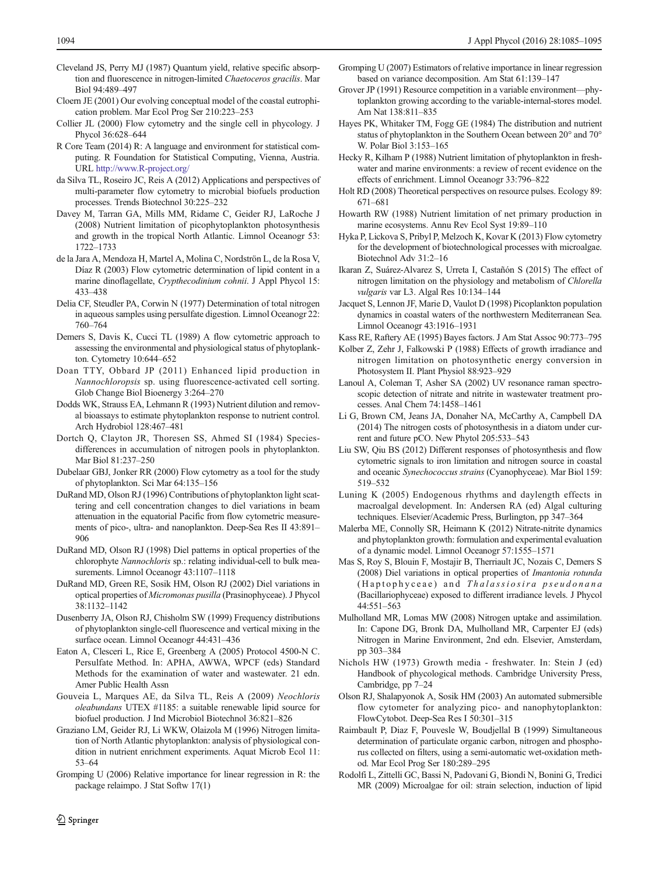- <span id="page-9-0"></span>Cleveland JS, Perry MJ (1987) Quantum yield, relative specific absorption and fluorescence in nitrogen-limited Chaetoceros gracilis. Mar Biol 94:489–497
- Cloern JE (2001) Our evolving conceptual model of the coastal eutrophication problem. Mar Ecol Prog Ser 210:223–253
- Collier JL (2000) Flow cytometry and the single cell in phycology. J Phycol 36:628–644
- R Core Team (2014) R: A language and environment for statistical computing. R Foundation for Statistical Computing, Vienna, Austria. URL [http://www.R-project.org/](http://www.r-project.org/)
- da Silva TL, Roseiro JC, Reis A (2012) Applications and perspectives of multi-parameter flow cytometry to microbial biofuels production processes. Trends Biotechnol 30:225–232
- Davey M, Tarran GA, Mills MM, Ridame C, Geider RJ, LaRoche J (2008) Nutrient limitation of picophytoplankton photosynthesis and growth in the tropical North Atlantic. Limnol Oceanogr 53: 1722–1733
- de la Jara A, Mendoza H, Martel A, Molina C, Nordströn L, de la Rosa V, Díaz R (2003) Flow cytometric determination of lipid content in a marine dinoflagellate, Crypthecodinium cohnii. J Appl Phycol 15: 433–438
- Delia CF, Steudler PA, Corwin N (1977) Determination of total nitrogen in aqueous samples using persulfate digestion. Limnol Oceanogr 22: 760–764
- Demers S, Davis K, Cucci TL (1989) A flow cytometric approach to assessing the environmental and physiological status of phytoplankton. Cytometry 10:644–652
- Doan TTY, Obbard JP (2011) Enhanced lipid production in Nannochloropsis sp. using fluorescence-activated cell sorting. Glob Change Biol Bioenergy 3:264–270
- Dodds WK, Strauss EA, Lehmann R (1993) Nutrient dilution and removal bioassays to estimate phytoplankton response to nutrient control. Arch Hydrobiol 128:467–481
- Dortch Q, Clayton JR, Thoresen SS, Ahmed SI (1984) Speciesdifferences in accumulation of nitrogen pools in phytoplankton. Mar Biol 81:237–250
- Dubelaar GBJ, Jonker RR (2000) Flow cytometry as a tool for the study of phytoplankton. Sci Mar 64:135–156
- DuRand MD, Olson RJ (1996) Contributions of phytoplankton light scattering and cell concentration changes to diel variations in beam attenuation in the equatorial Pacific from flow cytometric measurements of pico-, ultra- and nanoplankton. Deep-Sea Res II 43:891– 906
- DuRand MD, Olson RJ (1998) Diel patterns in optical properties of the chlorophyte Nannochloris sp.: relating individual-cell to bulk measurements. Limnol Oceanogr 43:1107–1118
- DuRand MD, Green RE, Sosik HM, Olson RJ (2002) Diel variations in optical properties of Micromonas pusilla (Prasinophyceae). J Phycol 38:1132–1142
- Dusenberry JA, Olson RJ, Chisholm SW (1999) Frequency distributions of phytoplankton single-cell fluorescence and vertical mixing in the surface ocean. Limnol Oceanogr 44:431–436
- Eaton A, Clesceri L, Rice E, Greenberg A (2005) Protocol 4500-N C. Persulfate Method. In: APHA, AWWA, WPCF (eds) Standard Methods for the examination of water and wastewater. 21 edn. Amer Public Health Assn
- Gouveia L, Marques AE, da Silva TL, Reis A (2009) Neochloris oleabundans UTEX #1185: a suitable renewable lipid source for biofuel production. J Ind Microbiol Biotechnol 36:821–826
- Graziano LM, Geider RJ, Li WKW, Olaizola M (1996) Nitrogen limitation of North Atlantic phytoplankton: analysis of physiological condition in nutrient enrichment experiments. Aquat Microb Ecol 11: 53–64
- Gromping U (2006) Relative importance for linear regression in R: the package relaimpo. J Stat Softw 17(1)
- Gromping U (2007) Estimators of relative importance in linear regression based on variance decomposition. Am Stat 61:139–147
- Grover JP (1991) Resource competition in a variable environment—phytoplankton growing according to the variable-internal-stores model. Am Nat 138:811–835
- Hayes PK, Whitaker TM, Fogg GE (1984) The distribution and nutrient status of phytoplankton in the Southern Ocean between 20° and 70° W. Polar Biol 3:153–165
- Hecky R, Kilham P (1988) Nutrient limitation of phytoplankton in freshwater and marine environments: a review of recent evidence on the effects of enrichment. Limnol Oceanogr 33:796–822
- Holt RD (2008) Theoretical perspectives on resource pulses. Ecology 89: 671–681
- Howarth RW (1988) Nutrient limitation of net primary production in marine ecosystems. Annu Rev Ecol Syst 19:89–110
- Hyka P, Lickova S, Pribyl P, Melzoch K, Kovar K (2013) Flow cytometry for the development of biotechnological processes with microalgae. Biotechnol Adv 31:2–16
- Ikaran Z, Suárez-Alvarez S, Urreta I, Castañón S (2015) The effect of nitrogen limitation on the physiology and metabolism of Chlorella vulgaris var L3. Algal Res 10:134–144
- Jacquet S, Lennon JF, Marie D, Vaulot D (1998) Picoplankton population dynamics in coastal waters of the northwestern Mediterranean Sea. Limnol Oceanogr 43:1916–1931
- Kass RE, Raftery AE (1995) Bayes factors. J Am Stat Assoc 90:773–795
- Kolber Z, Zehr J, Falkowski P (1988) Effects of growth irradiance and nitrogen limitation on photosynthetic energy conversion in Photosystem II. Plant Physiol 88:923–929
- Lanoul A, Coleman T, Asher SA (2002) UV resonance raman spectroscopic detection of nitrate and nitrite in wastewater treatment processes. Anal Chem 74:1458–1461
- Li G, Brown CM, Jeans JA, Donaher NA, McCarthy A, Campbell DA (2014) The nitrogen costs of photosynthesis in a diatom under current and future pCO. New Phytol 205:533–543
- Liu SW, Qiu BS (2012) Different responses of photosynthesis and flow cytometric signals to iron limitation and nitrogen source in coastal and oceanic Synechococcus strains (Cyanophyceae). Mar Biol 159: 519–532
- Luning K (2005) Endogenous rhythms and daylength effects in macroalgal development. In: Andersen RA (ed) Algal culturing techniques. Elsevier/Academic Press, Burlington, pp 347–364
- Malerba ME, Connolly SR, Heimann K (2012) Nitrate-nitrite dynamics and phytoplankton growth: formulation and experimental evaluation of a dynamic model. Limnol Oceanogr 57:1555–1571
- Mas S, Roy S, Blouin F, Mostajir B, Therriault JC, Nozais C, Demers S (2008) Diel variations in optical properties of Imantonia rotunda (Haptophyceae) and Thalassiosira pseudonana (Bacillariophyceae) exposed to different irradiance levels. J Phycol 44:551–563
- Mulholland MR, Lomas MW (2008) Nitrogen uptake and assimilation. In: Capone DG, Bronk DA, Mulholland MR, Carpenter EJ (eds) Nitrogen in Marine Environment, 2nd edn. Elsevier, Amsterdam, pp 303–384
- Nichols HW (1973) Growth media freshwater. In: Stein J (ed) Handbook of phycological methods. Cambridge University Press, Cambridge, pp 7–24
- Olson RJ, Shalapyonok A, Sosik HM (2003) An automated submersible flow cytometer for analyzing pico- and nanophytoplankton: FlowCytobot. Deep-Sea Res I 50:301–315
- Raimbault P, Diaz F, Pouvesle W, Boudjellal B (1999) Simultaneous determination of particulate organic carbon, nitrogen and phosphorus collected on filters, using a semi-automatic wet-oxidation method. Mar Ecol Prog Ser 180:289–295
- Rodolfi L, Zittelli GC, Bassi N, Padovani G, Biondi N, Bonini G, Tredici MR (2009) Microalgae for oil: strain selection, induction of lipid